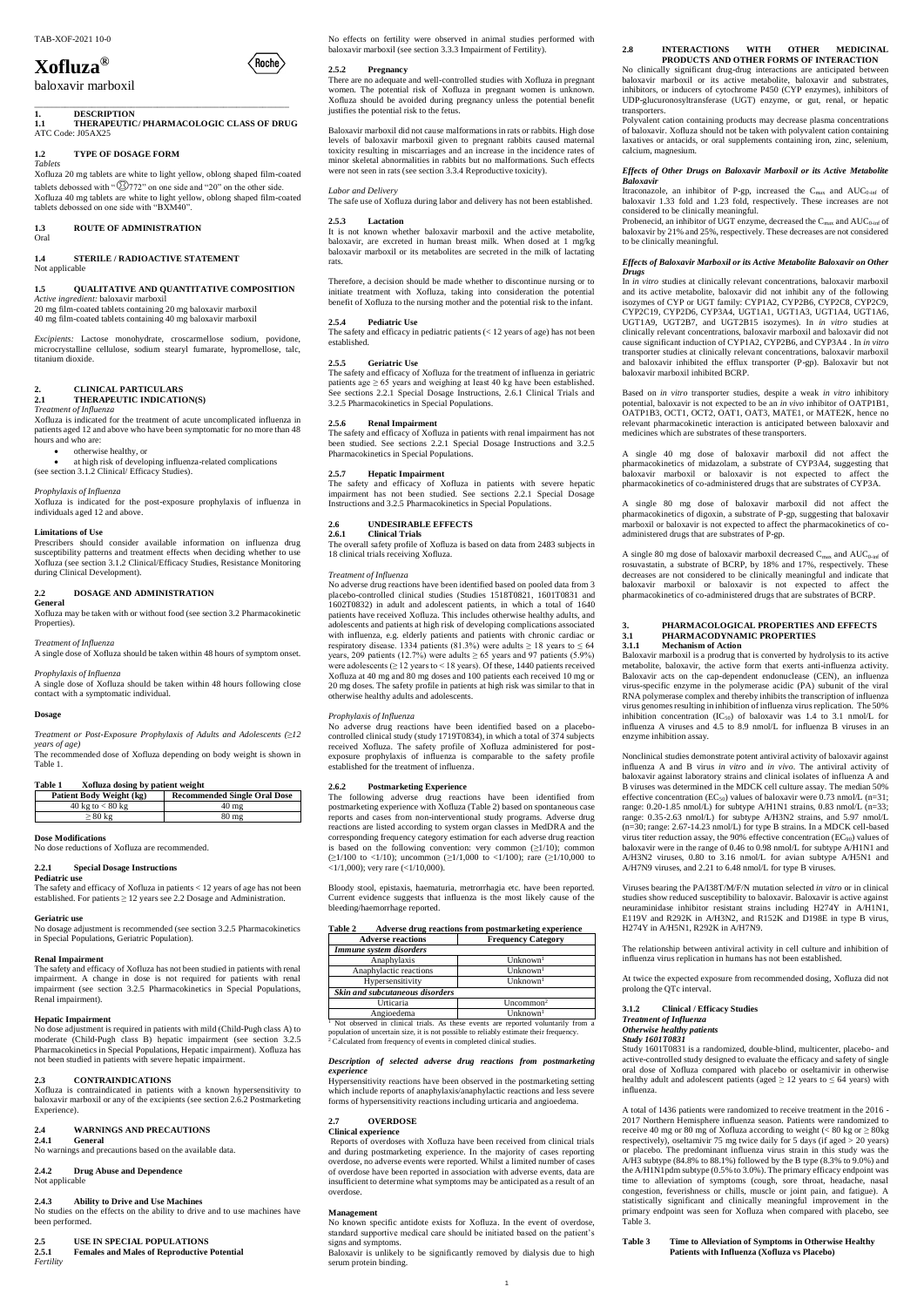## **Xofluza®**

baloxavir marboxil

\_\_\_\_\_\_\_\_\_\_\_\_\_\_\_\_\_\_\_\_\_\_\_\_\_\_\_\_\_\_\_\_\_\_\_\_\_\_\_\_\_\_\_\_\_\_\_\_\_\_\_\_\_\_\_\_\_\_

## **1. DESCRIPTION**

**1.1 THERAPEUTIC/ PHARMACOLOGIC CLASS OF DRUG** ATC Code: J05AX25

#### **1.2 TYPE OF DOSAGE FORM** *Tablets*

Xofluza 20 mg tablets are white to light yellow, oblong shaped film-coated tablets debossed with " $\mathbb{Q}$ 772" on one side and "20" on the other side. Xofluza 40 mg tablets are white to light yellow, oblong shaped film-coated tablets debossed on one side with "BXM40".

## **1.3 ROUTE OF ADMINISTRATION**

Oral

## **1.4 STERILE / RADIOACTIVE STATEMENT** Not applicable

## **1.5 QUALITATIVE AND QUANTITATIVE COMPOSITION** *Active ingredient:* baloxavir marboxil

20 mg film-coated tablets containing 20 mg baloxavir marboxil 40 mg film-coated tablets containing 40 mg baloxavir marboxil

*Excipients:* Lactose monohydrate, croscarmellose sodium, povidone, microcrystalline cellulose, sodium stearyl fumarate, hypromellose, talc, titanium dioxide.

## **2. CLINICAL PARTICULARS**

**2.1 THERAPEUTIC INDICATION(S)**

*Treatment of Influenza*

Xofluza is indicated for the treatment of acute uncomplicated influenza in patients aged 12 and above who have been symptomatic for no more than 48 hours and who are:

otherwise healthy, or

at high risk of developing influenza-related complications

The safety and efficacy of Xofluza in patients < 12 years of age has not been established. For patients  $\geq$  12 years see 2.2 Dosage and Administration.

(see section 3.1.2 Clinical/ Efficacy Studies).

## *Prophylaxis of Influenza*

Xofluza is indicated for the post-exposure prophylaxis of influenza in individuals aged 12 and above.

## **Limitations of Use**

impairment (see section 3.2.5 Pharmacokinetics in Special Populations Renal impairment).

Prescribers should consider available information on influenza drug susceptibility patterns and treatment effects when deciding whether to use Xofluza (see section 3.1.2 Clinical/Efficacy Studies, Resistance Monitoring during Clinical Development).

## **2.2 DOSAGE AND ADMINISTRATION**

## **General**

Xofluza may be taken with or without food (see section 3.2 Pharmacokinetic Properties).

*Treatment of Influenza*

A single dose of Xofluza should be taken within 48 hours of symptom onset.

*Prophylaxis of Influenza* A single dose of Xofluza should be taken within 48 hours following close contact with a symptomatic individual.

#### **Dosage**

*Treatment or Post-Exposure Prophylaxis of Adults and Adolescents (≥12 years of age)*

The recommended dose of Xofluza depending on body weight is shown in Table 1.

#### **Table 1 Xofluza dosing by patient weight**

| Patient Body Weight (kg) | <b>Recommended Single Oral Dose</b> |
|--------------------------|-------------------------------------|
| 40 kg to $< 80$ kg       | $40 \text{ mg}$                     |
| $\geq 80$ kg             | $80 \text{ mg}$                     |

#### **Dose Modifications**

No dose reductions of Xofluza are recommended.

## **2.2.1 Special Dosage Instructions**

#### **Pediatric use**

## **Geriatric use**

No dosage adjustment is recommended (see section 3.2.5 Pharmacokinetics in Special Populations, Geriatric Population).

## **Renal Impairment**

The safety and efficacy of Xofluza has not been studied in patients with renal impairment. A change in dose is not required for patients with renal

#### **Hepatic Impairment**

No dose adjustment is required in patients with mild (Child-Pugh class A) to moderate (Child-Pugh class B) hepatic impairment (see section 3.2.5 Pharmacokinetics in Special Populations, Hepatic impairment). Xofluza has not been studied in patients with severe hepatic impairment.

## **2.3 CONTRAINDICATIONS**

Xofluza is contraindicated in patients with a known hypersensitivity to baloxavir marboxil or any of the excipients (see section 2.6.2 Postmarketing Experience).

## **2.4 WARNINGS AND PRECAUTIONS**

#### **2.4.1 General**

No warnings and precautions based on the available data.

## **2.4.2 Drug Abuse and Dependence**

Not applicable

## **2.4.3 Ability to Drive and Use Machines**

No studies on the effects on the ability to drive and to use machines have been performed.

# 2.5 **USE IN SPECIAL POPULATIONS**<br>2.5.1 **Females and Males of Reproductive**

**2.5.1 Females and Males of Reproductive Potential** *Fertility*

No effects on fertility were observed in animal studies performed with baloxavir marboxil (see section 3.3.3 Impairment of Fertility).

## **2.5.2 Pregnancy**

There are no adequate and well-controlled studies with Xofluza in pregnant women. The potential risk of Xofluza in pregnant women is unknown. Xofluza should be avoided during pregnancy unless the potential benefit justifies the potential risk to the fetus.

Baloxavir marboxil did not cause malformations in rats or rabbits. High dose levels of baloxavir marboxil given to pregnant rabbits caused maternal toxicity resulting in miscarriages and an increase in the incidence rates of minor skeletal abnormalities in rabbits but no malformations. Such effects were not seen in rats (see section 3.3.4 Reproductive toxicity).

#### *Labor and Delivery*

The safe use of Xofluza during labor and delivery has not been established.

#### **2.5.3 Lactation**

It is not known whether baloxavir marboxil and the active metabolite, baloxavir, are excreted in human breast milk. When dosed at 1 mg/kg baloxavir marboxil or its metabolites are secreted in the milk of lactating rats.

Therefore, a decision should be made whether to discontinue nursing or to initiate treatment with Xofluza, taking into consideration the potential benefit of Xofluza to the nursing mother and the potential risk to the infant.

## **2.5.4 Pediatric Use**

The safety and efficacy in pediatric patients (< 12 years of age) has not been established.

Itraconazole, an inhibitor of P-gp, increased the  $C_{\text{max}}$  and  $AUC_{0\text{-inf}}$  of baloxavir 1.33 fold and 1.23 fold, respectively. These increases are not considered to be clinically meaningful.

## **2.5.5 Geriatric Use**

Probenecid, an inhibitor of UGT enzyme, decreased the C<sub>max</sub> and AUC<sub>0-inf</sub> of baloxavir by 21% and 25%, respectively. These decreases are not considered to be clinically meaningful.

The safety and efficacy of Xofluza for the treatment of influenza in geriatric patients age  $\geq 65$  years and weighing at least 40 kg have been established. See sections 2.2.1 Special Dosage Instructions, 2.6.1 Clinical Trials and 3.2.5 Pharmacokinetics in Special Populations.

## **2.5.6 Renal Impairment**

The safety and efficacy of Xofluza in patients with renal impairment has not been studied. See sections 2.2.1 Special Dosage Instructions and 3.2.5 Pharmacokinetics in Special Populations.

#### **2.5.7 Hepatic Impairment**

The safety and efficacy of Xofluza in patients with severe hepatic impairment has not been studied. See sections 2.2.1 Special Dosage Instructions and 3.2.5 Pharmacokinetics in Special Populations.

## **2.6 UNDESIRABLE EFFECTS**

## **2.6.1 Clinical Trials**

The overall safety profile of Xofluza is based on data from 2483 subjects in 18 clinical trials receiving Xofluza.

## *Treatment of Influenza*

A single 80 mg dose of baloxavir marboxil decreased  $C_{\text{max}}$  and  $AUC_{0\text{-inf}}$  of rosuvastatin, a substrate of BCRP, by 18% and 17%, respectively. These decreases are not considered to be clinically meaningful and indicate that baloxavir marboxil or baloxavir is not expected to affect the pharmacokinetics of co-administered drugs that are substrates of BCRP.

No adverse drug reactions have been identified based on pooled data from 3 placebo-controlled clinical studies (Studies 1518T0821, 1601T0831 and 1602T0832) in adult and adolescent patients, in which a total of 1640 patients have received Xofluza. This includes otherwise healthy adults, and adolescents and patients at high risk of developing complications associated with influenza, e.g. elderly patients and patients with chronic cardiac or respiratory disease. 1334 patients (81.3%) were adults  $\geq$  18 years to  $\leq$  64 years, 209 patients (12.7%) were adults  $\geq$  65 years and 97 patients (5.9%) were adolescents ( $\geq 12$  years to < 18 years). Of these, 1440 patients received Xofluza at 40 mg and 80 mg doses and 100 patients each received 10 mg or 20 mg doses. The safety profile in patients at high risk was similar to that in otherwise healthy adults and adolescents.

#### *Prophylaxis of Influenza*

No adverse drug reactions have been identified based on a placebocontrolled clinical study (study 1719T0834), in which a total of 374 subjects received Xofluza. The safety profile of Xofluza administered for postexposure prophylaxis of influenza is comparable to the safety profile established for the treatment of influenza.

## **2.6.2 Postmarketing Experience**

The following adverse drug reactions have been identified from postmarketing experience with Xofluza (Table 2) based on spontaneous case reports and cases from non-interventional study programs. Adverse drug reactions are listed according to system organ classes in MedDRA and the corresponding frequency category estimation for each adverse drug reaction is based on the following convention: very common  $(\geq 1/10)$ ; common ( $\geq$ 1/100 to <1/10); uncommon ( $\geq$ 1/1,000 to <1/100); rare ( $\geq$ 1/10,000 to <1/1,000); very rare (<1/10,000).

Bloody stool, epistaxis, haematuria, metrorrhagia etc. have been reported. Current evidence suggests that influenza is the most likely cause of the bleeding/haemorrhage reported.

| Adverse drug reactions from postmarketing experience<br><b>Table 2</b> |  |                           |
|------------------------------------------------------------------------|--|---------------------------|
| <b>Adverse reactions</b>                                               |  | <b>Frequency Category</b> |

| 11000190100010119       | Trequency Cattle of  |  |
|-------------------------|----------------------|--|
| Immune system disorders |                      |  |
| Anaphylaxis             | Unknown <sup>1</sup> |  |
| Anaphylactic reactions  | Unknown <sup>1</sup> |  |
| Hypersensitivity        | Unknown <sup>1</sup> |  |

| <b>Skin and subcutaneous disorders</b> |                       |  |
|----------------------------------------|-----------------------|--|
| Urticaria                              | Uncommon <sup>2</sup> |  |
| Angioedema                             | Unknown <sup>1</sup>  |  |
|                                        |                       |  |

<sup>1</sup> Not observed in clinical trials. As these events are reported voluntarily from a population of uncertain size, it is not possible to reliably estimate their frequency. <sup>2</sup> Calculated from frequency of events in completed clinical studies.

#### *Description of selected adverse drug reactions from postmarketing experience*

Hypersensitivity reactions have been observed in the postmarketing setting which include reports of anaphylaxis/anaphylactic reactions and less severe forms of hypersensitivity reactions including urticaria and angioedema.

## **2.7 OVERDOSE**

## **Clinical experience**

Reports of overdoses with Xofluza have been received from clinical trials and during postmarketing experience. In the majority of cases reporting overdose, no adverse events were reported. Whilst a limited number of cases of overdose have been reported in association with adverse events, data are insufficient to determine what symptoms may be anticipated as a result of an overdose.

#### **Management**

No known specific antidote exists for Xofluza. In the event of overdose, standard supportive medical care should be initiated based on the patient's signs and symptoms.

Baloxavir is unlikely to be significantly removed by dialysis due to high serum protein binding.

#### **2.8 INTERACTIONS WITH OTHER MEDICINAL PRODUCTS AND OTHER FORMS OF INTERACTION**

No clinically significant drug-drug interactions are anticipated between baloxavir marboxil or its active metabolite, baloxavir and substrates, inhibitors, or inducers of cytochrome P450 (CYP enzymes), inhibitors of UDP-glucuronosyltransferase (UGT) enzyme, or gut, renal, or hepatic transporters.

Polyvalent cation containing products may decrease plasma concentrations of baloxavir. Xofluza should not be taken with polyvalent cation containing laxatives or antacids, or oral supplements containing iron, zinc, selenium, calcium, magnesium.

#### *Effects of Other Drugs on Baloxavir Marboxil or its Active Metabolite Baloxavir*

#### *Effects of Baloxavir Marboxil or its Active Metabolite Baloxavir on Other Drugs*

In *in vitro* studies at clinically relevant concentrations, baloxavir marboxil and its active metabolite, baloxavir did not inhibit any of the following isozymes of CYP or UGT family: CYP1A2, CYP2B6, CYP2C8, CYP2C9, CYP2C19, CYP2D6, CYP3A4, UGT1A1, UGT1A3, UGT1A4, UGT1A6, UGT1A9, UGT2B7, and UGT2B15 isozymes). In *in vitro* studies at clinically relevant concentrations, baloxavir marboxil and baloxavir did not cause significant induction of CYP1A2, CYP2B6, and CYP3A4 . In *in vitro* transporter studies at clinically relevant concentrations, baloxavir marboxil and baloxavir inhibited the efflux transporter (P-gp). Baloxavir but not baloxavir marboxil inhibited BCRP.

Based on *in vitro* transporter studies, despite a weak *in vitro* inhibitory potential, baloxavir is not expected to be an *in vivo* inhibitor of OATP1B1, OATP1B3, OCT1, OCT2, OAT1, OAT3, MATE1, or MATE2K, hence no relevant pharmacokinetic interaction is anticipated between baloxavir and medicines which are substrates of these transporters.

A single 40 mg dose of baloxavir marboxil did not affect the pharmacokinetics of midazolam, a substrate of CYP3A4, suggesting that baloxavir marboxil or baloxavir is not expected to affect the pharmacokinetics of co-administered drugs that are substrates of CYP3A.

A single 80 mg dose of baloxavir marboxil did not affect the pharmacokinetics of digoxin, a substrate of P-gp, suggesting that baloxavir marboxil or baloxavir is not expected to affect the pharmacokinetics of coadministered drugs that are substrates of P-gp.

### **3. PHARMACOLOGICAL PROPERTIES AND EFFECTS 3.1 PHARMACODYNAMIC PROPERTIES 3.1.1 Mechanism of Action**

Baloxavir marboxil is a prodrug that is converted by hydrolysis to its active metabolite, baloxavir, the active form that exerts anti-influenza activity. Baloxavir acts on the cap-dependent endonuclease (CEN), an influenza virus-specific enzyme in the polymerase acidic (PA) subunit of the viral RNA polymerase complex and thereby inhibits the transcription of influenza virus genomes resulting in inhibition of influenza virus replication. The 50% inhibition concentration (IC<sub>50</sub>) of baloxavir was 1.4 to 3.1 nmol/L for influenza A viruses and 4.5 to 8.9 nmol/L for influenza B viruses in an enzyme inhibition assay.

Nonclinical studies demonstrate potent antiviral activity of baloxavir against influenza A and B virus *in vitro* and *in vivo*. The antiviral activity of baloxavir against laboratory strains and clinical isolates of influenza A and B viruses was determined in the MDCK cell culture assay. The median 50% effective concentration (EC<sub>50</sub>) values of baloxavir were 0.73 nmol/L (n=31; range: 0.20-1.85 nmol/L) for subtype A/H1N1 strains, 0.83 nmol/L (n=33; range: 0.35-2.63 nmol/L) for subtype A/H3N2 strains, and 5.97 nmol/L (n=30; range: 2.67-14.23 nmol/L) for type B strains. In a MDCK cell-based virus titer reduction assay, the 90% effective concentration ( $EC_{90}$ ) values of baloxavir were in the range of 0.46 to 0.98 nmol/L for subtype A/H1N1 and A/H3N2 viruses, 0.80 to 3.16 nmol/L for avian subtype A/H5N1 and A/H7N9 viruses, and 2.21 to 6.48 nmol/L for type B viruses.

Viruses bearing the PA/I38T/M/F/N mutation selected *in vitro* or in clinical studies show reduced susceptibility to baloxavir. Baloxavir is active against neuraminidase inhibitor resistant strains including H274Y in A/H1N1, E119V and R292K in A/H3N2, and R152K and D198E in type B virus, H274Y in A/H5N1, R292K in A/H7N9.

The relationship between antiviral activity in cell culture and inhibition of influenza virus replication in humans has not been established.

At twice the expected exposure from recommended dosing, Xofluza did not



prolong the QTc interval.

## **3.1.2 Clinical / Efficacy Studies** *Treatment of Influenza Otherwise healthy patients*

## *Study 1601T0831*

Study 1601T0831 is a randomized, double-blind, multicenter, placebo- and active-controlled study designed to evaluate the efficacy and safety of single oral dose of Xofluza compared with placebo or oseltamivir in otherwise healthy adult and adolescent patients (aged  $\geq 12$  years to  $\leq 64$  years) with influenza.

A total of 1436 patients were randomized to receive treatment in the 2016 - 2017 Northern Hemisphere influenza season. Patients were randomized to receive 40 mg or 80 mg of Xofluza according to weight (< 80 kg or  $\geq$  80kg respectively), oseltamivir 75 mg twice daily for 5 days (if aged > 20 years) or placebo. The predominant influenza virus strain in this study was the A/H3 subtype (84.8% to 88.1%) followed by the B type (8.3% to 9.0%) and the A/H1N1pdm subtype (0.5% to 3.0%). The primary efficacy endpoint was time to alleviation of symptoms (cough, sore throat, headache, nasal congestion, feverishness or chills, muscle or joint pain, and fatigue). A statistically significant and clinically meaningful improvement in the primary endpoint was seen for Xofluza when compared with placebo, see Table 3.

## **Table 3 Time to Alleviation of Symptoms in Otherwise Healthy Patients with Influenza (Xofluza vs Placebo)**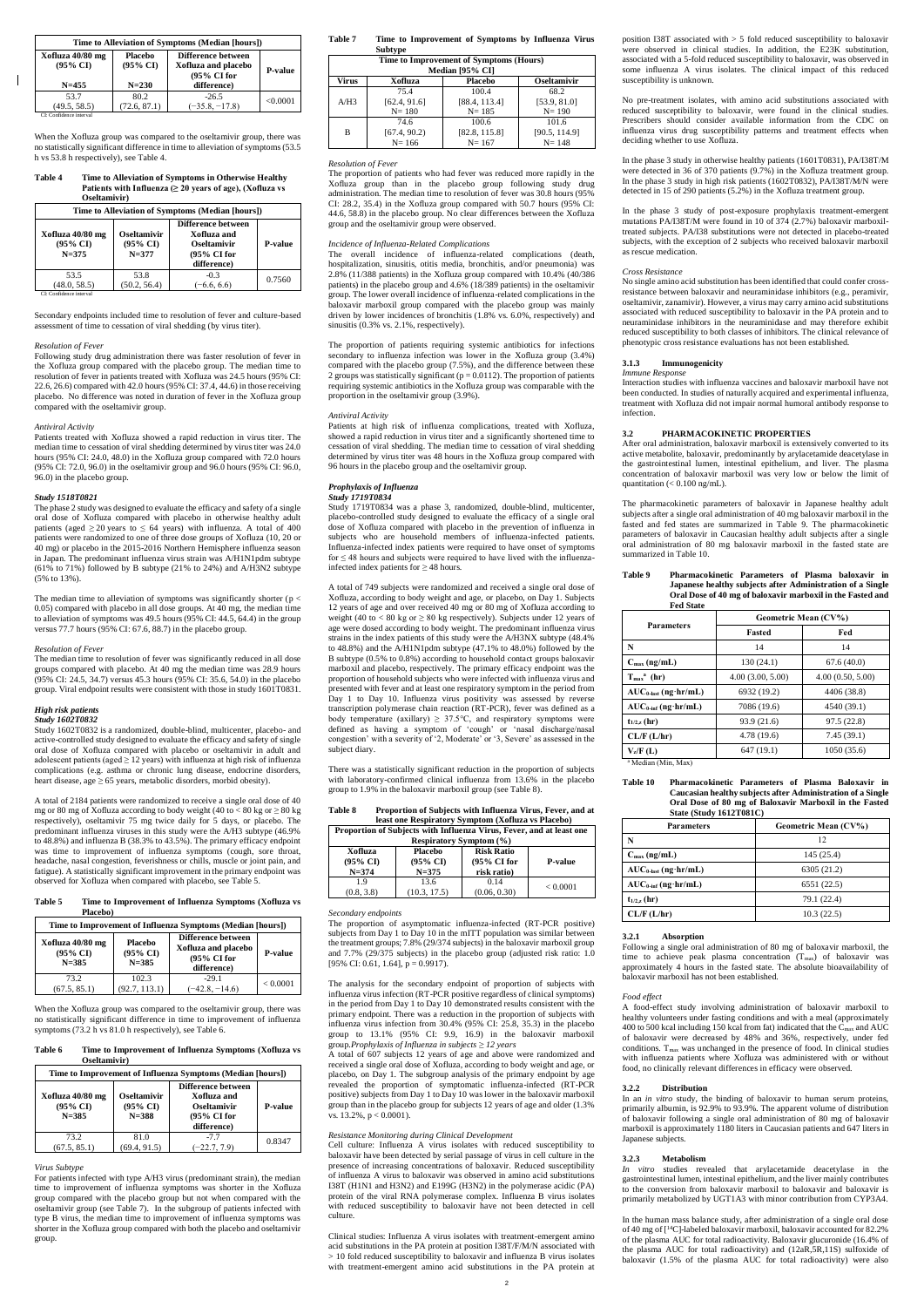| Time to Alleviation of Symptoms (Median [hours])                                                                                                                      |              |                  |             |
|-----------------------------------------------------------------------------------------------------------------------------------------------------------------------|--------------|------------------|-------------|
| Xofluza 40/80 mg<br><b>Placebo</b><br>Difference between<br>$(95\% \text{ CI})$<br>$(95\% \text{ CI})$<br><b>Xofluza and placebo</b><br><b>P-value</b><br>(95% CI for |              |                  |             |
| difference)<br>$N = 455$<br>$N = 230$                                                                                                                                 |              |                  |             |
| 53.7                                                                                                                                                                  | 80.2         | $-26.5$          |             |
| (49.5, 58.5)                                                                                                                                                          | (72.6, 87.1) | $(-35.8, -17.8)$ | ${<}0.0001$ |
| CI: Confidence interval                                                                                                                                               |              |                  |             |

When the Xofluza group was compared to the oseltamivir group, there was no statistically significant difference in time to alleviation of symptoms (53.5 h vs 53.8 h respectively), see Table 4.

#### **Table 4 Time to Alleviation of Symptoms in Otherwise Healthy Patients with Influenza (≥ 20 years of age), (Xofluza vs Oseltamivir)**

|                                                      |                                                        | Time to Alleviation of Symptoms (Median [hours])                                      |                |
|------------------------------------------------------|--------------------------------------------------------|---------------------------------------------------------------------------------------|----------------|
| Xofluza 40/80 mg<br>$(95\% \text{ CI})$<br>$N = 375$ | <b>Oseltamivir</b><br>$(95\% \text{ CI})$<br>$N = 377$ | Difference between<br>Xofluza and<br><b>Oseltamivir</b><br>(95% CI for<br>difference) | <b>P-value</b> |
| 53.5<br>(48.0, 58.5)                                 | 53.8<br>(50.2, 56.4)                                   | $-0.3$<br>$(-6.6, 6.6)$                                                               | 0.7560         |

CI: Confidence interval

 $\mathbf{I}$ 

Secondary endpoints included time to resolution of fever and culture-based assessment of time to cessation of viral shedding (by virus titer).

#### *Resolution of Fever*

Following study drug administration there was faster resolution of fever in the Xofluza group compared with the placebo group. The median time to resolution of fever in patients treated with Xofluza was 24.5 hours (95% CI: 22.6, 26.6) compared with 42.0 hours (95% CI: 37.4, 44.6) in those receiving placebo. No difference was noted in duration of fever in the Xofluza group compared with the oseltamivir group.

The median time to alleviation of symptoms was significantly shorter ( $p <$ 0.05) compared with placebo in all dose groups. At 40 mg, the median time to alleviation of symptoms was 49.5 hours (95% CI: 44.5, 64.4) in the group versus 77.7 hours (95% CI: 67.6, 88.7) in the placebo group.

#### *Antiviral Activity*

Patients treated with Xofluza showed a rapid reduction in virus titer. The median time to cessation of viral shedding determined by virus titer was 24.0 hours (95% CI: 24.0, 48.0) in the Xofluza group compared with 72.0 hours (95% CI: 72.0, 96.0) in the oseltamivir group and 96.0 hours (95% CI: 96.0, 96.0) in the placebo group.

#### *Study 1518T0821*

The phase 2 study was designed to evaluate the efficacy and safety of a single oral dose of Xofluza compared with placebo in otherwise healthy adult patients (aged  $\geq$  20 years to  $\leq$  64 years) with influenza. A total of 400 patients were randomized to one of three dose groups of Xofluza (10, 20 or 40 mg) or placebo in the 2015-2016 Northern Hemisphere influenza season in Japan. The predominant influenza virus strain was A/H1N1pdm subtype (61% to 71%) followed by B subtype (21% to 24%) and A/H3N2 subtype (5% to 13%).

#### *Resolution of Fever*

The median time to resolution of fever was significantly reduced in all dose groups compared with placebo. At 40 mg the median time was 28.9 hours (95% CI: 24.5, 34.7) versus 45.3 hours (95% CI: 35.6, 54.0) in the placebo group. Viral endpoint results were consistent with those in study 1601T0831.

## *High risk patients*

## *Study 1602T0832*

Study 1602T0832 is a randomized, double-blind, multicenter, placebo- and active-controlled study designed to evaluate the efficacy and safety of single oral dose of Xofluza compared with placebo or oseltamivir in adult and adolescent patients (aged  $\geq$  12 years) with influenza at high risk of influenza complications (e.g. asthma or chronic lung disease, endocrine disorders, heart disease, age ≥ 65 years, metabolic disorders, morbid obesity).

A total of 2184 patients were randomized to receive a single oral dose of 40 mg or 80 mg of Xofluza according to body weight (40 to  $<$  80 kg or  $\geq$  80 kg respectively), oseltamivir 75 mg twice daily for 5 days, or placebo. The predominant influenza viruses in this study were the A/H3 subtype (46.9% to 48.8%) and influenza B (38.3% to 43.5%). The primary efficacy endpoint was time to improvement of influenza symptoms (cough, sore throat, headache, nasal congestion, feverishness or chills, muscle or joint pain, and fatigue). A statistically significant improvement in the primary endpoint was observed for Xofluza when compared with placebo, see Table 5.

Study 1719T0834 was a phase 3, randomized, double-blind, multicenter, placebo-controlled study designed to evaluate the efficacy of a single oral dose of Xofluza compared with placebo in the prevention of influenza in subjects who are household members of influenza-infected patients. Influenza-infected index patients were required to have onset of symptoms for ≤ 48 hours and subjects were required to have lived with the influenzainfected index patients for  $\geq 48$  hours.

#### **Table 5 Time to Improvement of Influenza Symptoms (Xofluza vs Placebo)**

| Time to Improvement of Influenza Symptoms (Median [hours]) |                                             |                                                                                |                |
|------------------------------------------------------------|---------------------------------------------|--------------------------------------------------------------------------------|----------------|
| Xofluza 40/80 mg<br>$(95\% \text{ CI})$<br>$N = 385$       | Placebo<br>$(95\% \text{ CI})$<br>$N = 385$ | Difference between<br><b>Xofluza and placebo</b><br>(95% CI for<br>difference) | <b>P-value</b> |
| 73.2<br>(67.5, 85.1)                                       | 102.3<br>(92.7, 113.1)                      | $-29.1$<br>$(-42.8, -14.6)$                                                    | < 0.0001       |

When the Xofluza group was compared to the oseltamivir group, there was no statistically significant difference in time to improvement of influenza symptoms (73.2 h vs 81.0 h respectively), see Table 6.

#### **Table 6 Time to Improvement of Influenza Symptoms (Xofluza vs Oseltamivir)**

| Time to Improvement of Influenza Symptoms (Median [hours])                                                                                                                                                     |  |                |
|----------------------------------------------------------------------------------------------------------------------------------------------------------------------------------------------------------------|--|----------------|
| <b>Difference between</b><br><b>Oseltamivir</b><br>Xofluza 40/80 mg<br>Xofluza and<br>$(95\% \text{ CI})$<br>$(95\% \text{ CI})$<br><b>Oseltamivir</b><br>$N = 388$<br>$N = 385$<br>(95% CI for<br>difference) |  | <b>P-value</b> |
| 73.2<br>81.0<br>$-7.7$<br>(67.5, 85.1)<br>(69.4, 91.5)<br>$(-22.7, 7.9)$                                                                                                                                       |  | 0.8347         |

The proportion of asymptomatic influenza-infected (RT-PCR positive) subjects from Day 1 to Day 10 in the mITT population was similar between the treatment groups; 7.8% (29/374 subjects) in the baloxavir marboxil group and 7.7% (29/375 subjects) in the placebo group (adjusted risk ratio: 1.0 [95% CI: 0.61, 1.64],  $p = 0.9917$ ).

#### *Virus Subtype*

For patients infected with type A/H3 virus (predominant strain), the median time to improvement of influenza symptoms was shorter in the Xofluza group compared with the placebo group but not when compared with the oseltamivir group (see Table 7). In the subgroup of patients infected with type B virus, the median time to improvement of influenza symptoms was shorter in the Xofluza group compared with both the placebo and oseltamivir group.

#### **Table 7 Time to Improvement of Symptoms by Influenza Virus Subtype**

|       | Time to Improvement of Symptoms (Hours)         |                 |               |  |
|-------|-------------------------------------------------|-----------------|---------------|--|
|       |                                                 | Median [95% CI] |               |  |
| Virus | <b>Oseltamivir</b><br><b>Placebo</b><br>Xofluza |                 |               |  |
|       | 75.4                                            | 100.4           | 68.2          |  |
| A/H3  | [62.4, 91.6]                                    | [88.4, 113.4]   | [53.9, 81.0]  |  |
|       | $N = 180$                                       | $N = 185$       | $N = 190$     |  |
|       | 74.6                                            | 100.6           | 101.6         |  |
| в     | [67.4, 90.2]                                    | [82.8, 115.8]   | [90.5, 114.9] |  |
|       | $N = 166$                                       | $N = 167$       | $N = 148$     |  |

#### *Resolution of Fever*

The proportion of patients who had fever was reduced more rapidly in the Xofluza group than in the placebo group following study drug administration. The median time to resolution of fever was 30.8 hours (95% CI: 28.2, 35.4) in the Xofluza group compared with 50.7 hours (95% CI: 44.6, 58.8) in the placebo group. No clear differences between the Xofluza group and the oseltamivir group were observed.

### *Incidence of Influenza-Related Complications*

The overall incidence of influenza-related complications (death, hospitalization, sinusitis, otitis media, bronchitis, and/or pneumonia) was 2.8% (11/388 patients) in the Xofluza group compared with 10.4% (40/386 patients) in the placebo group and 4.6% (18/389 patients) in the oseltamivir group. The lower overall incidence of influenza-related complications in the baloxavir marboxil group compared with the placebo group was mainly driven by lower incidences of bronchitis (1.8% vs. 6.0%, respectively) and sinusitis (0.3% vs. 2.1%, respectively).

The proportion of patients requiring systemic antibiotics for infections secondary to influenza infection was lower in the Xofluza group (3.4%) compared with the placebo group (7.5%), and the difference between these 2 groups was statistically significant ( $p = 0.0112$ ). The proportion of patients requiring systemic antibiotics in the Xofluza group was comparable with the proportion in the oseltamivir group (3.9%).

#### *Antiviral Activity*

Patients at high risk of influenza complications, treated with Xofluza, showed a rapid reduction in virus titer and a significantly shortened time to cessation of viral shedding. The median time to cessation of viral shedding determined by virus titer was 48 hours in the Xofluza group compared with 96 hours in the placebo group and the oseltamivir group.

#### *Prophylaxis of Influenza Study 1719T0834*

A total of 749 subjects were randomized and received a single oral dose of Xofluza, according to body weight and age, or placebo, on Day 1. Subjects 12 years of age and over received 40 mg or 80 mg of Xofluza according to weight (40 to < 80 kg or  $\geq$  80 kg respectively). Subjects under 12 years of age were dosed according to body weight. The predominant influenza virus strains in the index patients of this study were the A/H3NX subtype (48.4% to 48.8%) and the A/H1N1pdm subtype (47.1% to 48.0%) followed by the B subtype (0.5% to 0.8%) according to household contact groups baloxavir marboxil and placebo, respectively. The primary efficacy endpoint was the proportion of household subjects who were infected with influenza virus and presented with fever and at least one respiratory symptom in the period from Day 1 to Day 10. Influenza virus positivity was assessed by reverse transcription polymerase chain reaction (RT-PCR), fever was defined as a body temperature (axillary)  $\geq 37.5$ °C, and respiratory symptoms were defined as having a symptom of 'cough' or 'nasal discharge/nasal congestion' with a severity of '2, Moderate' or '3, Severe' as assessed in the subject diary.

There was a statistically significant reduction in the proportion of subjects with laboratory-confirmed clinical influenza from 13.6% in the placebo group to 1.9% in the baloxavir marboxil group (see Table 8).

## **Table 8 Proportion of Subjects with Influenza Virus, Fever, and at least one Respiratory Symptom (Xofluza vs Placebo)**

**Proportion of Subjects with Influenza Virus, Fever, and at least one** 

| <b>Respiratory Symptom (%)</b> |                     |                   |                |  |
|--------------------------------|---------------------|-------------------|----------------|--|
| Xofluza                        | <b>Placebo</b>      | <b>Risk Ratio</b> | <b>P-value</b> |  |
| $(95\% \text{ CI})$            | $(95\% \text{ CI})$ | (95% CI for       |                |  |
| $N = 374$                      | $N = 375$           | risk ratio)       |                |  |
| 19                             | 13.6                | 0.14              | < 0.0001       |  |
| (0.8, 3.8)                     | (10.3, 17.5)        | (0.06, 0.30)      |                |  |

#### *Secondary endpoints*

The analysis for the secondary endpoint of proportion of subjects with

influenza virus infection (RT-PCR positive regardless of clinical symptoms) in the period from Day 1 to Day 10 demonstrated results consistent with the primary endpoint. There was a reduction in the proportion of subjects with influenza virus infection from 30.4% (95% CI: 25.8, 35.3) in the placebo group to 13.1% (95% CI: 9.9, 16.9) in the baloxavir marboxil group.*Prophylaxis of Influenza in subjects ≥ 12 years*

A total of 607 subjects 12 years of age and above were randomized and received a single oral dose of Xofluza, according to body weight and age, or placebo, on Day 1. The subgroup analysis of the primary endpoint by age revealed the proportion of symptomatic influenza-infected (RT-PCR positive) subjects from Day 1 to Day 10 was lower in the baloxavir marboxil group than in the placebo group for subjects 12 years of age and older (1.3% vs. 13.2%, p < 0.0001).

## *Resistance Monitoring during Clinical Development*

Cell culture: Influenza A virus isolates with reduced susceptibility to baloxavir have been detected by serial passage of virus in cell culture in the presence of increasing concentrations of baloxavir. Reduced susceptibility of influenza A virus to baloxavir was observed in amino acid substitutions I38T (H1N1 and H3N2) and E199G (H3N2) in the polymerase acidic (PA) protein of the viral RNA polymerase complex. Influenza B virus isolates with reduced susceptibility to baloxavir have not been detected in cell culture.

Clinical studies: Influenza A virus isolates with treatment-emergent amino acid substitutions in the PA protein at position I38T/F/M/N associated with > 10 fold reduced susceptibility to baloxavir and influenza B virus isolates with treatment-emergent amino acid substitutions in the PA protein at

position I38T associated with > 5 fold reduced susceptibility to baloxavir were observed in clinical studies. In addition, the E23K substitution, associated with a 5-fold reduced susceptibility to baloxavir, was observed in some influenza A virus isolates. The clinical impact of this reduced susceptibility is unknown.

No pre-treatment isolates, with amino acid substitutions associated with reduced susceptibility to baloxavir, were found in the clinical studies. Prescribers should consider available information from the CDC on influenza virus drug susceptibility patterns and treatment effects when deciding whether to use Xofluza.

In the phase 3 study in otherwise healthy patients (1601T0831), PA/I38T/M were detected in 36 of 370 patients (9.7%) in the Xofluza treatment group. In the phase 3 study in high risk patients (1602T0832), PA/I38T/M/N were detected in 15 of 290 patients (5.2%) in the Xofluza treatment group.

In the phase 3 study of post-exposure prophylaxis treatment-emergent mutations PA/I38T/M were found in 10 of 374 (2.7%) baloxavir marboxiltreated subjects. PA/I38 substitutions were not detected in placebo-treated subjects, with the exception of 2 subjects who received baloxavir marboxil as rescue medication.

#### *Cross Resistance*

No single amino acid substitution has been identified that could confer crossresistance between baloxavir and neuraminidase inhibitors (e.g., peramivir, oseltamivir, zanamivir). However, a virus may carry amino acid substitutions associated with reduced susceptibility to baloxavir in the PA protein and to neuraminidase inhibitors in the neuraminidase and may therefore exhibit reduced susceptibility to both classes of inhibitors. The clinical relevance of phenotypic cross resistance evaluations has not been established.

## **3.1.3 Immunogenicity**

#### *Immune Response*

Interaction studies with influenza vaccines and baloxavir marboxil have not been conducted. In studies of naturally acquired and experimental influenza, treatment with Xofluza did not impair normal humoral antibody response to infection.

## **3.2 PHARMACOKINETIC PROPERTIES**

After oral administration, baloxavir marboxil is extensively converted to its active metabolite, baloxavir, predominantly by arylacetamide deacetylase in the gastrointestinal lumen, intestinal epithelium, and liver. The plasma concentration of baloxavir marboxil was very low or below the limit of quantitation (< 0.100 ng/mL).

The pharmacokinetic parameters of baloxavir in Japanese healthy adult subjects after a single oral administration of 40 mg baloxavir marboxil in the fasted and fed states are summarized in Table 9. The pharmacokinetic parameters of baloxavir in Caucasian healthy adult subjects after a single oral administration of 80 mg baloxavir marboxil in the fasted state are summarized in Table 10.

#### **Table 9 Pharmacokinetic Parameters of Plasma baloxavir in Japanese healthy subjects after Administration of a Single Oral Dose of 40 mg of baloxavir marboxil in the Fasted and Fed State**

|                                    | Geometric Mean (CV%) |                  |  |
|------------------------------------|----------------------|------------------|--|
| <b>Parameters</b>                  | Fasted               | Fed              |  |
| N                                  | 14                   | 14               |  |
| $C_{\text{max}}$ (ng/mL)           | 130(24.1)            | 67.6(40.0)       |  |
| $Tmaxa$ (hr)                       | 4.00(3.00, 5.00)     | 4.00(0.50, 5.00) |  |
| $AUC_{0\text{-last}}$ (ng · hr/mL) | 6932 (19.2)          | 4406 (38.8)      |  |
| $AUC_{0\text{-inf}}$ (ng ·hr/mL)   | 7086 (19.6)          | 4540 (39.1)      |  |
| $t_{1/2,z}$ (hr)                   | 93.9 (21.6)          | 97.5 (22.8)      |  |
| CL/F (L/hr)                        | 4.78 (19.6)          | 7.45(39.1)       |  |
| $V_z/F(L)$                         | 647 (19.1)           | 1050(35.6)       |  |

<sup>a</sup> Median (Min, Max)

#### **Table 10 Pharmacokinetic Parameters of Plasma Baloxavir in Caucasian healthy subjects after Administration of a Single Oral Dose of 80 mg of Baloxavir Marboxil in the Fasted State (Study 1612T081C)**

| Parameters                        | Geometric Mean (CV%) |
|-----------------------------------|----------------------|
| N                                 | 12                   |
| $C_{\text{max}}$ (ng/mL)          | 145 (25.4)           |
| $AUC_{0-last}$ (ng $hr/mL$ )      | 6305 (21.2)          |
| $AUC_{0\text{-inf}}$ (ng · hr/mL) | 6551 (22.5)          |
| $t_{1/2,z}$ (hr)                  | 79.1 (22.4)          |
| CL/F (L/hr)                       | 10.3(22.5)           |

#### **3.2.1 Absorption**

Following a single oral administration of 80 mg of baloxavir marboxil, the time to achieve peak plasma concentration (T<sub>max</sub>) of baloxavir was approximately 4 hours in the fasted state. The absolute bioavailability of baloxavir marboxil has not been established.

#### *Food effect*

A food-effect study involving administration of baloxavir marboxil to healthy volunteers under fasting conditions and with a meal (approximately 400 to 500 kcal including 150 kcal from fat) indicated that the  $\hat{C}_{\text{max}}$  and AUC of baloxavir were decreased by 48% and 36%, respectively, under fed conditions. T<sub>max</sub> was unchanged in the presence of food. In clinical studies with influenza patients where Xofluza was administered with or without food, no clinically relevant differences in efficacy were observed.

#### **3.2.2 Distribution**

In an *in vitro* study, the binding of baloxavir to human serum proteins, primarily albumin, is 92.9% to 93.9%. The apparent volume of distribution of baloxavir following a single oral administration of 80 mg of baloxavir marboxil is approximately 1180 liters in Caucasian patients and 647 liters in Japanese subjects.

#### **3.2.3 Metabolism**

*In vitro* studies revealed that arylacetamide deacetylase in the gastrointestinal lumen, intestinal epithelium, and the liver mainly contributes to the conversion from baloxavir marboxil to baloxavir and baloxavir is primarily metabolized by UGT1A3 with minor contribution from CYP3A4.

In the human mass balance study, after administration of a single oral dose of 40 mg of [<sup>14</sup>C]-labeled baloxavir marboxil, baloxavir accounted for 82.2% of the plasma AUC for total radioactivity. Baloxavir glucuronide (16.4% of the plasma AUC for total radioactivity) and (12aR,5R,11S) sulfoxide of baloxavir (1.5% of the plasma AUC for total radioactivity) were also